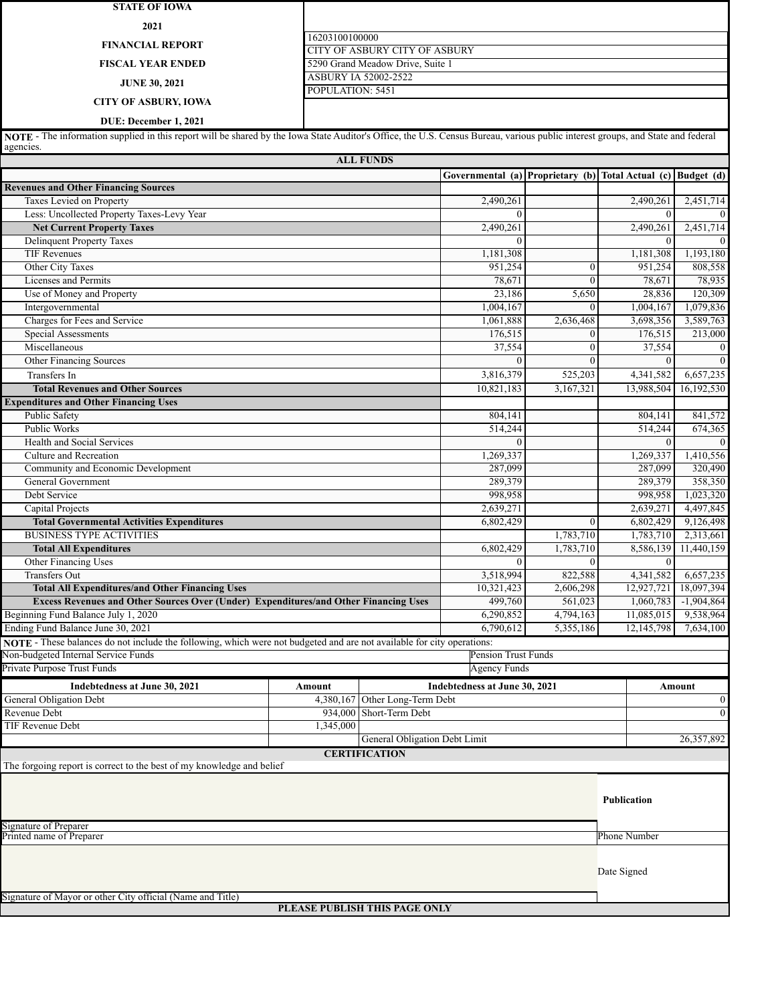| <b>STATE OF IOWA</b>                                                                                                                                                            |                               |                                                          |                                                              |                              |                           |                      |
|---------------------------------------------------------------------------------------------------------------------------------------------------------------------------------|-------------------------------|----------------------------------------------------------|--------------------------------------------------------------|------------------------------|---------------------------|----------------------|
| 2021                                                                                                                                                                            |                               |                                                          |                                                              |                              |                           |                      |
|                                                                                                                                                                                 | 16203100100000                |                                                          |                                                              |                              |                           |                      |
| <b>FINANCIAL REPORT</b>                                                                                                                                                         |                               | CITY OF ASBURY CITY OF ASBURY                            |                                                              |                              |                           |                      |
| <b>FISCAL YEAR ENDED</b>                                                                                                                                                        |                               | 5290 Grand Meadow Drive, Suite 1<br>ASBURY IA 52002-2522 |                                                              |                              |                           |                      |
| <b>JUNE 30, 2021</b>                                                                                                                                                            | POPULATION: 5451              |                                                          |                                                              |                              |                           |                      |
| <b>CITY OF ASBURY, IOWA</b>                                                                                                                                                     |                               |                                                          |                                                              |                              |                           |                      |
| DUE: December 1, 2021                                                                                                                                                           |                               |                                                          |                                                              |                              |                           |                      |
| NOTE - The information supplied in this report will be shared by the Iowa State Auditor's Office, the U.S. Census Bureau, various public interest groups, and State and federal |                               |                                                          |                                                              |                              |                           |                      |
| agencies.                                                                                                                                                                       |                               |                                                          |                                                              |                              |                           |                      |
|                                                                                                                                                                                 |                               | <b>ALL FUNDS</b>                                         |                                                              |                              |                           |                      |
| <b>Revenues and Other Financing Sources</b>                                                                                                                                     |                               |                                                          | Governmental (a) Proprietary (b) Total Actual (c) Budget (d) |                              |                           |                      |
| Taxes Levied on Property                                                                                                                                                        |                               |                                                          | 2,490,261                                                    |                              | 2,490,261                 | 2,451,714            |
| Less: Uncollected Property Taxes-Levy Year                                                                                                                                      |                               |                                                          | $\theta$                                                     |                              | $\theta$                  |                      |
| <b>Net Current Property Taxes</b>                                                                                                                                               |                               |                                                          | 2,490,261                                                    |                              | 2,490,261                 | 2,451,714            |
| <b>Delinquent Property Taxes</b><br><b>TIF Revenues</b>                                                                                                                         |                               |                                                          | $\Omega$<br>1,181,308                                        |                              | $\theta$<br>1.181.308     | 1,193,180            |
| Other City Taxes                                                                                                                                                                |                               |                                                          | 951.254                                                      | $\boldsymbol{0}$             | 951,254                   | 808,558              |
| Licenses and Permits                                                                                                                                                            |                               |                                                          | 78,671                                                       | $\mathbf{0}$                 | 78,671                    | 78,935               |
| Use of Money and Property                                                                                                                                                       |                               |                                                          | 23,186                                                       | 5,650                        | 28,836                    | 120,309              |
| Intergovernmental                                                                                                                                                               |                               |                                                          | 1,004,167                                                    | $\theta$                     | 1,004,167                 | 1,079,836            |
| Charges for Fees and Service                                                                                                                                                    |                               |                                                          | 1,061,888                                                    | 2,636,468                    | 3,698,356                 | 3,589,763            |
| Special Assessments<br>Miscellaneous                                                                                                                                            |                               |                                                          | 176,515<br>37,554                                            | $\mathbf{0}$<br>$\mathbf{0}$ | 176,515<br>37,554         | 213,000<br>$\theta$  |
| <b>Other Financing Sources</b>                                                                                                                                                  |                               |                                                          | $\Omega$                                                     | $\theta$                     | $\theta$                  | $\Omega$             |
| Transfers In                                                                                                                                                                    |                               |                                                          | 3,816,379                                                    | 525,203                      | 4,341,582                 | 6,657,235            |
| <b>Total Revenues and Other Sources</b>                                                                                                                                         |                               |                                                          | 10,821,183                                                   | 3,167,321                    | 13,988,504                | 16,192,530           |
| <b>Expenditures and Other Financing Uses</b>                                                                                                                                    |                               |                                                          |                                                              |                              |                           |                      |
| <b>Public Safety</b>                                                                                                                                                            |                               |                                                          | 804,141                                                      |                              | 804,141                   | 841,572              |
| Public Works                                                                                                                                                                    |                               |                                                          | 514,244                                                      |                              | 514,244                   | 674,365              |
| <b>Health and Social Services</b>                                                                                                                                               |                               |                                                          | $\theta$                                                     |                              | $\overline{0}$            |                      |
| Culture and Recreation<br>Community and Economic Development                                                                                                                    |                               |                                                          | 1,269,337<br>287,099                                         |                              | 1,269,337<br>287,099      | 1,410,556<br>320,490 |
| <b>General Government</b>                                                                                                                                                       |                               |                                                          | 289,379                                                      |                              | 289,379                   | 358,350              |
| Debt Service                                                                                                                                                                    |                               |                                                          | 998,958                                                      |                              | 998.958                   | 1,023,320            |
| Capital Projects                                                                                                                                                                |                               |                                                          | 2,639,271                                                    |                              | 2,639,271                 | 4,497,845            |
| <b>Total Governmental Activities Expenditures</b>                                                                                                                               |                               |                                                          | 6,802,429                                                    | $\mathbf{0}$                 | 6,802,429                 | 9,126,498            |
| <b>BUSINESS TYPE ACTIVITIES</b>                                                                                                                                                 |                               |                                                          |                                                              | 1,783,710                    | 1,783,710                 | 2.313.661            |
| <b>Total All Expenditures</b>                                                                                                                                                   |                               |                                                          | 6,802,429                                                    | 1.783.710                    | 8,586,139                 | 11,440,159           |
| Other Financing Uses<br><b>Transfers Out</b>                                                                                                                                    |                               |                                                          | $\mathbf{0}$<br>3,518,994                                    | $\mathbf{0}$<br>822,588      | $\mathbf{0}$<br>4,341,582 | 6,657,235            |
| <b>Total All Expenditures/and Other Financing Uses</b>                                                                                                                          |                               |                                                          | 10,321,423                                                   | 2,606,298                    | 12,927,721                | 18,097,394           |
| <b>Excess Revenues and Other Sources Over (Under) Expenditures/and Other Financing Uses</b>                                                                                     |                               |                                                          | 499,760                                                      | 561,023                      | 1,060,783                 | $-1,904,864$         |
| Beginning Fund Balance July 1, 2020                                                                                                                                             |                               |                                                          | 6,290,852                                                    | 4,794,163                    | 11,085,015                | 9,538,964            |
| Ending Fund Balance June 30, 2021                                                                                                                                               |                               |                                                          | 6,790,612                                                    | 5,355,186                    | 12,145,798                | 7,634,100            |
| NOTE - These balances do not include the following, which were not budgeted and are not available for city operations:<br>Non-budgeted Internal Service Funds                   |                               |                                                          | Pension Trust Funds                                          |                              |                           |                      |
| Private Purpose Trust Funds                                                                                                                                                     |                               |                                                          | Agency Funds                                                 |                              |                           |                      |
| Indebtedness at June 30, 2021                                                                                                                                                   | Amount                        |                                                          | Indebtedness at June 30, 2021                                |                              |                           | Amount               |
| <b>General Obligation Debt</b>                                                                                                                                                  | 4,380,167                     | Other Long-Term Debt                                     |                                                              |                              |                           | $\bf{0}$             |
| Revenue Debt                                                                                                                                                                    | 934,000                       | Short-Term Debt                                          |                                                              |                              |                           | $\mathbf{0}$         |
| TIF Revenue Debt                                                                                                                                                                | 1,345,000                     |                                                          |                                                              |                              |                           |                      |
|                                                                                                                                                                                 |                               | General Obligation Debt Limit                            |                                                              |                              |                           | 26,357,892           |
|                                                                                                                                                                                 |                               | <b>CERTIFICATION</b>                                     |                                                              |                              |                           |                      |
| The forgoing report is correct to the best of my knowledge and belief                                                                                                           |                               |                                                          |                                                              |                              |                           |                      |
|                                                                                                                                                                                 |                               |                                                          |                                                              |                              | Publication               |                      |
| Signature of Preparer                                                                                                                                                           |                               |                                                          |                                                              |                              |                           |                      |
| Printed name of Preparer                                                                                                                                                        |                               |                                                          |                                                              |                              | Phone Number              |                      |
| Signature of Mayor or other City official (Name and Title)                                                                                                                      |                               |                                                          |                                                              |                              | Date Signed               |                      |
|                                                                                                                                                                                 | PLEASE PUBLISH THIS PAGE ONLY |                                                          |                                                              |                              |                           |                      |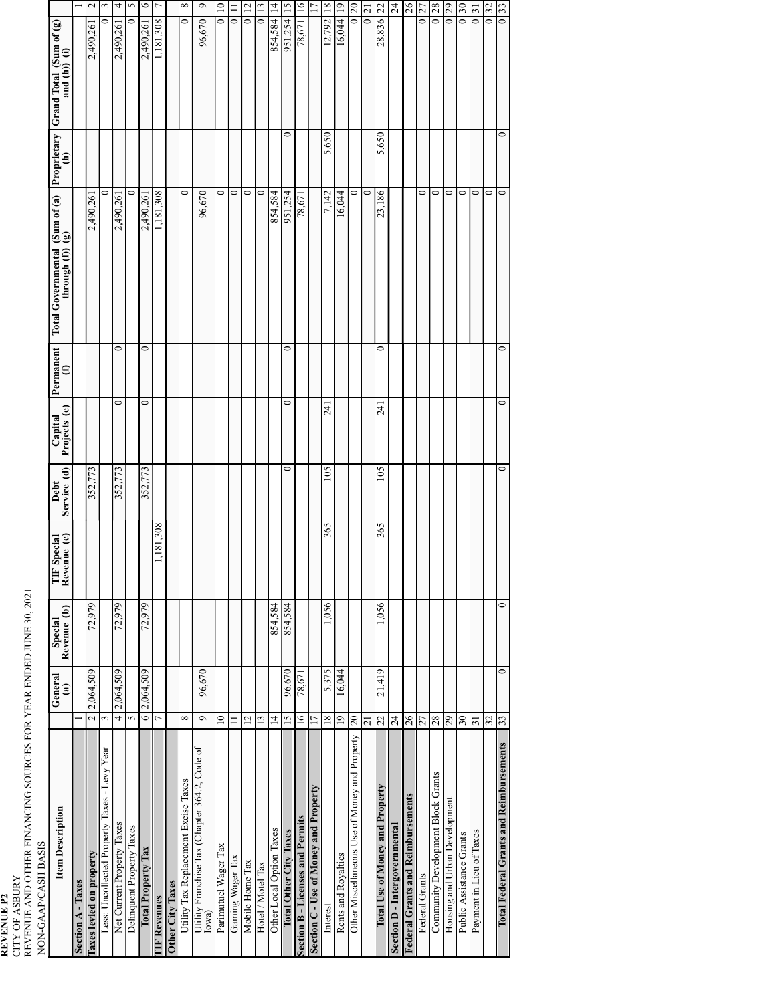**REVENUE P2** CITY OF ASBURY REVENUE AND OTHER FINANCING SOURCES FOR YEAR ENDED JUNE 30, 2021

| ION-GAAP/CASH BASIS |
|---------------------|
|---------------------|

| LVU-UHAT/UHAT EASLO                                    |                          |                                   |                        |                            |                     |                         |                                                                     |                                                                                                    |                    |                                                      |                 |
|--------------------------------------------------------|--------------------------|-----------------------------------|------------------------|----------------------------|---------------------|-------------------------|---------------------------------------------------------------------|----------------------------------------------------------------------------------------------------|--------------------|------------------------------------------------------|-----------------|
| <b>Item Description</b>                                |                          | General<br>$\widehat{\mathbf{a}}$ | Revenue (b)<br>Special | TIF Special<br>Revenue (c) | Debt<br>Service (d) | Capital<br>Projects (e) | $\begin{array}{c}\n\textbf{Permament} \\ \textbf{(f)}\n\end{array}$ | $\begin{bmatrix} \text{Sum of (a)} \\ \text{g} \end{bmatrix}$<br>Total Governmental<br>through (f) | Proprietary<br>(h) | Grand Total (Sum of $\left(\frac{2}{2}\right)$       |                 |
| <b>Section A-Taxes</b>                                 |                          |                                   |                        |                            |                     |                         |                                                                     |                                                                                                    |                    |                                                      | $\overline{ }$  |
| Taxes levied on property                               | $\overline{\mathcal{C}}$ | 2,064,509                         | 72,979                 |                            | 352,773             |                         |                                                                     | 2,490,26                                                                                           |                    | 2,490,26                                             | $\sim$          |
| Less: Uncollected Property Taxes - Levy Year           | 3                        |                                   |                        |                            |                     |                         |                                                                     |                                                                                                    |                    |                                                      | 3               |
| Net Current Property Taxes                             | 4                        | 2,064,509                         | 72,979                 |                            | 352,773             | 0                       | 0                                                                   | 2,490,26                                                                                           |                    | 2,490,261                                            | 4               |
| Delinquent Property Taxes                              | 5                        |                                   |                        |                            |                     |                         |                                                                     | 0                                                                                                  |                    | 0                                                    | 5               |
| <b>Total Property Tax</b>                              | 6 2,064,509              |                                   | 72,979                 |                            | 352,773             | 0                       | 0                                                                   | 2,490,261                                                                                          |                    | 2,490,261                                            | $\circ$         |
| <b>IF Revenues</b>                                     | h                        |                                   |                        | 1,181,308                  |                     |                         |                                                                     | 1,181,308                                                                                          |                    | 1,181,308                                            | $\overline{ }$  |
| Other City Taxes                                       |                          |                                   |                        |                            |                     |                         |                                                                     |                                                                                                    |                    |                                                      |                 |
| Utility Tax Replacement Excise Taxes                   | ${}^{\circ}$             |                                   |                        |                            |                     |                         |                                                                     | 0                                                                                                  |                    | 0                                                    | ${}^{\circ}$    |
| Utility Franchise Tax (Chapter 364.2, Code of<br>Iowa) | $\sigma$                 | 96,670                            |                        |                            |                     |                         |                                                                     | 96,670                                                                                             |                    | 96,670                                               | $\circ$         |
| Parimutuel Wager Tax                                   | $\approx$                |                                   |                        |                            |                     |                         |                                                                     | 0                                                                                                  |                    | $\overline{10}$<br>$\circ$                           |                 |
| Gaming Wager Tax                                       | ニ                        |                                   |                        |                            |                     |                         |                                                                     | 0                                                                                                  |                    | $\circ$                                              |                 |
| Mobile Home Tax                                        | $\overline{2}$           |                                   |                        |                            |                     |                         |                                                                     | 0                                                                                                  |                    | 5                                                    | $\overline{12}$ |
| Hotel / Motel Tax                                      | $\overline{13}$          |                                   |                        |                            |                     |                         |                                                                     | 0                                                                                                  |                    | $\overline{\phantom{0}}$                             | $\overline{13}$ |
| Other Local Option Taxes                               | $\overline{4}$           |                                   | 854.584                |                            |                     |                         |                                                                     | 854.584                                                                                            |                    | 854,584                                              | $\vec{4}$       |
| <b>Total Other City Taxes</b>                          | 15                       | 96,670                            | 854,584                |                            | 0                   | 0                       | 0                                                                   | 951,254                                                                                            | 0                  | 951,254                                              | 15              |
| Section B - Licenses and Permits                       | $\frac{6}{1}$            | 78,671                            |                        |                            |                     |                         |                                                                     | 78,67                                                                                              |                    | $\overline{16}$<br>78,671                            |                 |
| Section C - Use of Money and Property                  | 2                        |                                   |                        |                            |                     |                         |                                                                     |                                                                                                    |                    |                                                      |                 |
| Interest                                               | $\frac{8}{18}$           | 5,375                             | 1,056                  | 365                        | 105                 | $\overline{5}$          |                                                                     | 7.142                                                                                              | 5,650              | 18<br>12,792                                         |                 |
| Rents and Royalties                                    | $\overline{19}$          | 16,044                            |                        |                            |                     |                         |                                                                     | 16,044                                                                                             |                    | $\overline{19}$<br>16,044                            |                 |
| Other Miscellaneous Use of Money and Property          | $\Omega$                 |                                   |                        |                            |                     |                         |                                                                     | 0                                                                                                  |                    | $\Omega$<br>$\circ$                                  |                 |
|                                                        | $\overline{c}$           |                                   |                        |                            |                     |                         |                                                                     | 0                                                                                                  |                    | ಸ<br>$\mathbf{C}$                                    |                 |
| Total Use of Money and Property                        | 22                       | 21,419                            | 1,056                  | 365                        | 105                 | $\overline{5}$          | 0                                                                   | 23,186                                                                                             | 5,650              | 22<br>28,836                                         |                 |
| Section D - Intergovernmental                          | 24                       |                                   |                        |                            |                     |                         |                                                                     |                                                                                                    |                    | 24                                                   |                 |
| <b>Federal Grants and Reimbursements</b>               | 26                       |                                   |                        |                            |                     |                         |                                                                     |                                                                                                    |                    | 26                                                   |                 |
| Federal Grants                                         | 27                       |                                   |                        |                            |                     |                         |                                                                     | 0                                                                                                  |                    | 27<br>$\mathbf{C}$                                   |                 |
| Community Development Block Grants                     | 28                       |                                   |                        |                            |                     |                         |                                                                     | 0                                                                                                  |                    | 28<br>$\overline{\phantom{0}}$                       |                 |
| Housing and Urban Development                          | 29                       |                                   |                        |                            |                     |                         |                                                                     | 0                                                                                                  |                    | 29<br>$\overline{\phantom{0}}$                       |                 |
| Public Assistance Grants                               | $\overline{30}$          |                                   |                        |                            |                     |                         |                                                                     | 0                                                                                                  |                    | $\overline{\mathbf{30}}$<br>$\overline{\phantom{0}}$ |                 |
| Payment in Lieu of Taxes                               | 31                       |                                   |                        |                            |                     |                         |                                                                     | 0                                                                                                  |                    | $\Xi$<br>$\overline{\phantom{0}}$                    |                 |
|                                                        | 32                       |                                   |                        |                            |                     |                         |                                                                     | 0                                                                                                  |                    | 32                                                   |                 |
| <b>Total Federal Grants and Reimbursements</b>         | 33                       | $\circ$                           | $\circ$                |                            | 0                   | $\circ$                 | 0                                                                   | 0                                                                                                  | ∊                  | 33<br>$\overline{\phantom{0}}$                       |                 |
|                                                        |                          |                                   |                        |                            |                     |                         |                                                                     |                                                                                                    |                    |                                                      |                 |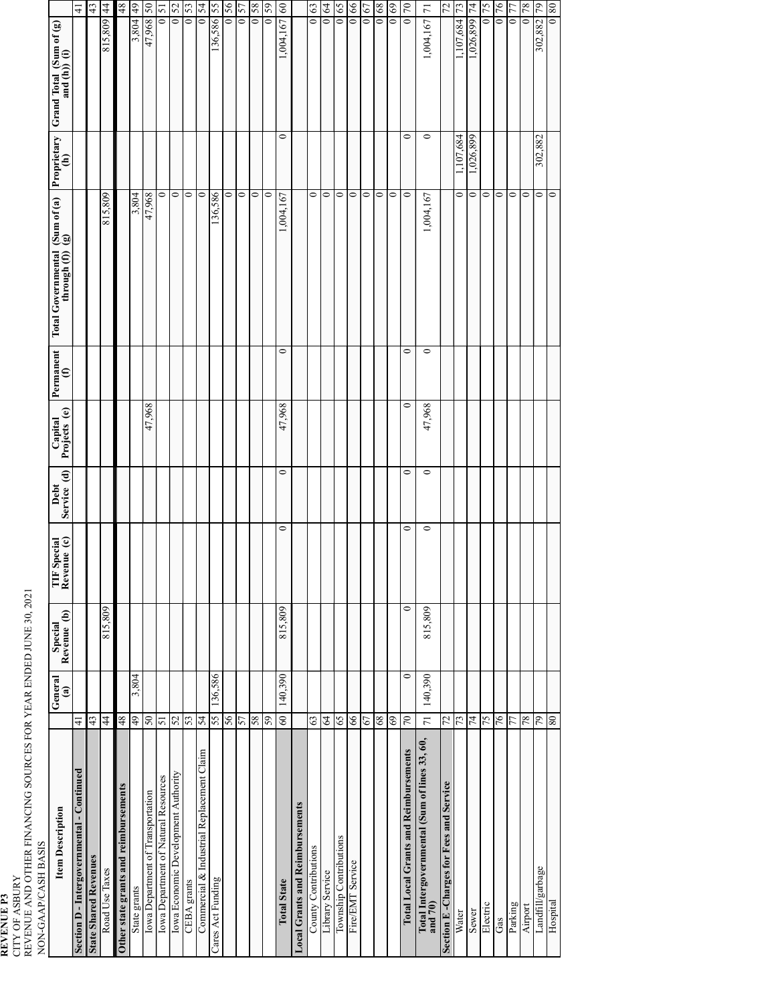# **REVENUE P3** CITY OF ASBURY

REVENUE AND OTHER FINANCING SOURCES FOR YEAR ENDED JUNE 30, 2021

| NON-GAAP/CASH BASIS                                      |                |                          |                        |                            |                     |                         |                                                                   |                                                    |                    |                                                |                            |
|----------------------------------------------------------|----------------|--------------------------|------------------------|----------------------------|---------------------|-------------------------|-------------------------------------------------------------------|----------------------------------------------------|--------------------|------------------------------------------------|----------------------------|
| <b>Item Description</b>                                  |                | General<br>$\widehat{a}$ | Special<br>Revenue (b) | TIF Special<br>Revenue (c) | Service (d)<br>Debt | Capital<br>Projects (e) | $\begin{array}{c} \mathbf{Permament} \\ \textbf{(f)} \end{array}$ | Total Governmental (Sum of (a)<br>through (f)) (g) | Proprietary<br>(h) | Grand Total $(Sum of (g)$<br>and $(h)$ ) $(i)$ |                            |
| Section D - Intergovernmental - Continued                | $\frac{1}{4}$  |                          |                        |                            |                     |                         |                                                                   |                                                    |                    |                                                | 4                          |
| <b>State Shared Revenues</b>                             | 43             |                          |                        |                            |                     |                         |                                                                   |                                                    |                    |                                                | 43                         |
| Road Use Taxes                                           | 44             |                          | 815,809                |                            |                     |                         |                                                                   | 815,809                                            |                    | 815,809                                        | $\frac{4}{3}$              |
| Other state grants and reimbursements                    | 48             |                          |                        |                            |                     |                         |                                                                   |                                                    |                    |                                                | 48                         |
| State grants                                             | $\frac{49}{5}$ | 3,804                    |                        |                            |                     |                         |                                                                   | 3,804                                              |                    | 3,804                                          | $\frac{49}{5}$             |
| Iowa Department of Transportation                        | 05             |                          |                        |                            |                     | 47,968                  |                                                                   | 47,968                                             |                    | 47,968                                         | 0S                         |
| Iowa Department of Natural Resources                     | 51             |                          |                        |                            |                     |                         |                                                                   | 0                                                  |                    | $\overline{\phantom{0}}$                       | 51                         |
| Iowa Economic Development Authority                      | 52             |                          |                        |                            |                     |                         |                                                                   | $\circ$                                            |                    | $\bullet$                                      | 52                         |
| <b>CEBA</b> grants                                       | 53             |                          |                        |                            |                     |                         |                                                                   | $\circ$                                            |                    | $\bar{\circ}$                                  | 53                         |
| Commercial & Industrial Replacement Claim                | 54             |                          |                        |                            |                     |                         |                                                                   | $\circ$                                            |                    | $\overline{\bullet}$                           | 54                         |
| Cares Act Funding                                        | 55             | 136,586                  |                        |                            |                     |                         |                                                                   | 136,586                                            |                    | 136,586 55                                     |                            |
|                                                          | 56             |                          |                        |                            |                     |                         |                                                                   | $\circ$                                            |                    |                                                | 0156                       |
|                                                          | 57             |                          |                        |                            |                     |                         |                                                                   | $\circ$                                            |                    | $\overline{\phantom{0}}$                       | 57                         |
|                                                          | 58             |                          |                        |                            |                     |                         |                                                                   | $\circ$                                            |                    | $\circ$                                        | $\sqrt{8}$                 |
|                                                          | 59             |                          |                        |                            |                     |                         |                                                                   | $\circ$                                            |                    | $\mathbf{C}$                                   | 59                         |
| <b>Total State</b>                                       | 60             | 140.390                  | 815,809                | 0                          | $\circ$             | 47,968                  | $\circ$                                                           | 1,004,167                                          | 0                  | 1,004,167                                      | $\boldsymbol{\mathcal{S}}$ |
| Local Grants and Reimbursements                          |                |                          |                        |                            |                     |                         |                                                                   |                                                    |                    |                                                |                            |
| County Contributions                                     | 63             |                          |                        |                            |                     |                         |                                                                   | $\circ$                                            |                    | $\overline{\bullet}$                           | $63\,$                     |
| Library Service                                          | $\mathcal{L}$  |                          |                        |                            |                     |                         |                                                                   | $\circ$                                            |                    | $\bar{\circ}$                                  | $\mathcal{L}$              |
| Township Contributions                                   | 65             |                          |                        |                            |                     |                         |                                                                   | $\circ$                                            |                    | $\overline{\phantom{0}}$                       | 65                         |
| Fire/EMT Service                                         | 66             |                          |                        |                            |                     |                         |                                                                   | $\circ$                                            |                    | $\overline{\phantom{0}}$                       | 66                         |
|                                                          | 67             |                          |                        |                            |                     |                         |                                                                   | $\circ$                                            |                    | $\circ$                                        | 67                         |
|                                                          | $68\,$         |                          |                        |                            |                     |                         |                                                                   | $\circ$                                            |                    | $\circ$                                        | $\bf 89$                   |
|                                                          | 69             |                          |                        |                            |                     |                         |                                                                   | $\circ$                                            |                    | $\bullet$                                      | 69                         |
| <b>Total Local Grants and Reimbursements</b>             | 70             | $\circ$                  | $\circ$                |                            | $\circ$<br>0        | $\circ$                 | 0                                                                 | $\circ$                                            | 0                  | $\circ$                                        | $\sqrt{2}$                 |
| Total Intergovernmental (Sum of lines 33, 60,<br>and 70) | 71             | 140,390                  | 815,809                |                            | $\circ$<br>$\circ$  | 47,968                  | $\circ$                                                           | 1,004,167                                          | $\circ$            | 1,004,167                                      | $\overline{7}$             |
| Section E-Charges for Fees and Service                   | 72             |                          |                        |                            |                     |                         |                                                                   |                                                    |                    |                                                | 72                         |
| Water                                                    | 73             |                          |                        |                            |                     |                         |                                                                   | 0                                                  | 1,107,684          | 1,107,684                                      | 73                         |
| Sewer                                                    | $\overline{7}$ |                          |                        |                            |                     |                         |                                                                   | $\circ$                                            | 1,026,899          | 1,026,899                                      | 74                         |
| Electric                                                 | 57             |                          |                        |                            |                     |                         |                                                                   | $\circ$                                            |                    |                                                | 75                         |
| Gas                                                      | 76             |                          |                        |                            |                     |                         |                                                                   | $\circ$                                            |                    | $\bullet$                                      | 76                         |
| Parking                                                  | 77             |                          |                        |                            |                     |                         |                                                                   | $\circ$                                            |                    | $\circ$                                        | 77                         |
| Airport                                                  | $78\,$         |                          |                        |                            |                     |                         |                                                                   | $\circ$                                            |                    | $\bullet$                                      | 78                         |
| Landfill/garbage                                         | 64             |                          |                        |                            |                     |                         |                                                                   | $\circ$                                            | 302,882            | 302,882                                        | 64                         |
| Hospital                                                 | 80             |                          |                        |                            |                     |                         |                                                                   | $\circ$                                            |                    | $\overline{\phantom{0}}$                       | 08                         |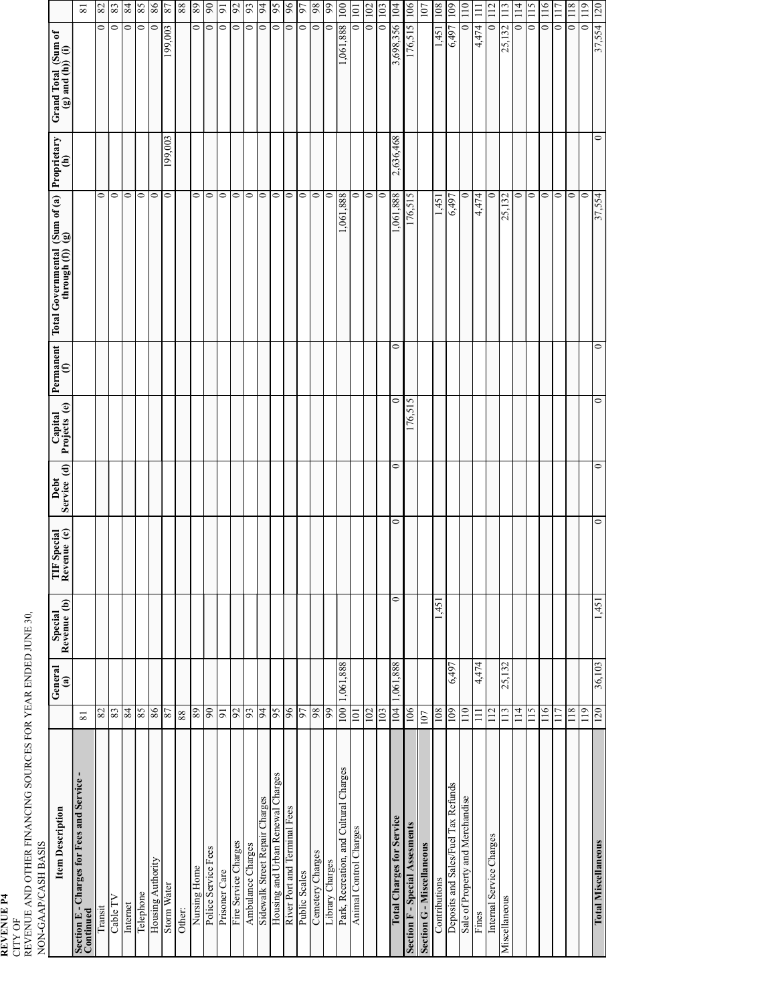**REVENUE P4** CITY OF REVENUE AND OTHER FINANCING SOURCES FOR YEAR ENDED JUNE 30,

NON-GAAP/CASH BASIS

| <b>Item Description</b>                                 |                 | General<br>$\mathbf{a}$ | Special<br>Revenue (b) | TIF Special<br>Revenue (c) | Debt<br>Service (d) | Capital<br>Projects (e) | $\begin{tabular}{ p_{\rm{emament}} } \hline \end{tabular}$ | Total Governmental (Sum of $(a)$ )<br>through $(f)$ ) $(g)$ | Proprietary<br>(h) | Grand Total (Sum of $(g)$ and (h)) $(i)$ |                 |
|---------------------------------------------------------|-----------------|-------------------------|------------------------|----------------------------|---------------------|-------------------------|------------------------------------------------------------|-------------------------------------------------------------|--------------------|------------------------------------------|-----------------|
| Section E - Charges for Fees and Service -<br>Continued | $\overline{81}$ |                         |                        |                            |                     |                         |                                                            |                                                             |                    |                                          | $\overline{8}1$ |
| Transit                                                 | 82              |                         |                        |                            |                     |                         |                                                            | $\circ$                                                     |                    | $\circ$                                  | $82\,$          |
| Cable TV                                                | 83              |                         |                        |                            |                     |                         |                                                            | $\circ$                                                     |                    | $\circ$                                  | 83              |
| Internet                                                | 84              |                         |                        |                            |                     |                         |                                                            | $\circ$                                                     |                    | $\circ$                                  | 84              |
| Telephone                                               | 85              |                         |                        |                            |                     |                         |                                                            | $\bullet$                                                   |                    | $\circ$                                  | 58              |
| Housing Authority                                       | 86              |                         |                        |                            |                     |                         |                                                            | $\circ$                                                     |                    | $\circ$                                  | $8\,$           |
| Storm Water                                             | 87              |                         |                        |                            |                     |                         |                                                            | $\circ$                                                     | 199,003            | 199,003                                  | 78              |
| Other:                                                  | 88              |                         |                        |                            |                     |                         |                                                            |                                                             |                    |                                          | $88\,$          |
| Nursing Home                                            | 89              |                         |                        |                            |                     |                         |                                                            | 0                                                           |                    | 0                                        | 89              |
| Police Service Fees                                     | 06              |                         |                        |                            |                     |                         |                                                            | $\circ$                                                     |                    | $\circ$                                  | 06              |
| Prisoner Care                                           | $\overline{6}$  |                         |                        |                            |                     |                         |                                                            | $\circ$                                                     |                    | $\circ$                                  | $\overline{9}$  |
| Fire Service Charges                                    | 92              |                         |                        |                            |                     |                         |                                                            | $\circ$                                                     |                    | $\circ$                                  | 92              |
| Ambulance Charges                                       | 93              |                         |                        |                            |                     |                         |                                                            | $\circ$                                                     |                    | $\circ$                                  | 93              |
| Sidewalk Street Repair Charges                          | 94              |                         |                        |                            |                     |                         |                                                            | $\circ$                                                     |                    | $\circ$                                  | 64              |
| Housing and Urban Renewal Charges                       | 56              |                         |                        |                            |                     |                         |                                                            | $\circ$                                                     |                    | $\circ$                                  | 56              |
| River Port and Terminal Fees                            | 96              |                         |                        |                            |                     |                         |                                                            | $\circ$                                                     |                    | $\circ$                                  | 96              |
| Public Scales                                           | 77              |                         |                        |                            |                     |                         |                                                            | $\circ$                                                     |                    | $\circ$                                  | 56              |
| Cemetery Charges                                        | 98              |                         |                        |                            |                     |                         |                                                            | $\circ$                                                     |                    | $\circ$                                  | 98              |
| Library Charges                                         | 99              |                         |                        |                            |                     |                         |                                                            | $\circ$                                                     |                    | $\circ$                                  | 66              |
| Park, Recreation, and Cultural Charges                  | 100             | 1,061,888               |                        |                            |                     |                         |                                                            | 1,061,888                                                   |                    | 1,061,888                                | 001             |
| Animal Control Charges                                  | 101             |                         |                        |                            |                     |                         |                                                            | 0                                                           |                    | $\circ$                                  | 101             |
|                                                         | 102             |                         |                        |                            |                     |                         |                                                            | $\circ$                                                     |                    | $\circ$                                  | 102             |
|                                                         | 103             |                         |                        |                            |                     |                         |                                                            | $\circ$                                                     |                    | $\circ$                                  | 103             |
| <b>Total Charges for Service</b>                        | 104             | 1,061,888               | $\circ$                | $\circ$                    | 0                   | $\circ$                 | 0                                                          | ,061,888                                                    | 2,636,468          | 3,698,356                                | 104             |
| <b>Section F-Special Assesments</b>                     | 106             |                         |                        |                            |                     | 176,515                 |                                                            | 176,515                                                     |                    | 176,515                                  | 106             |
| <b>Section G-Miscellaneous</b>                          | 107             |                         |                        |                            |                     |                         |                                                            |                                                             |                    |                                          | 107             |
| Contributions                                           | 108             |                         | 1,451                  |                            |                     |                         |                                                            | 1,451                                                       |                    | 1,451                                    | 108             |
| Deposits and Sales/Fuel Tax Refunds                     | 109             | 6,497                   |                        |                            |                     |                         |                                                            | 6,497                                                       |                    | 6,497                                    | 109             |
| Sale of Property and Merchandise                        | 110             |                         |                        |                            |                     |                         |                                                            | 0                                                           |                    | $\circ$                                  | 110             |
| Fines                                                   | $\Xi$           | 4,474                   |                        |                            |                     |                         |                                                            | 4,474                                                       |                    | 4,474                                    | $\Xi$           |
| Internal Service Charges                                | 112             |                         |                        |                            |                     |                         |                                                            | $\circ$                                                     |                    | $\circ$                                  | 112             |
| Miscellaneous                                           | 113             | 25,132                  |                        |                            |                     |                         |                                                            | 25,132                                                      |                    | 25,132                                   | 113             |
|                                                         | 114             |                         |                        |                            |                     |                         |                                                            | 0                                                           |                    | $\circ$                                  | 114             |
|                                                         | 115             |                         |                        |                            |                     |                         |                                                            | $\circ$                                                     |                    | $\circ$                                  | 115             |
|                                                         | 116             |                         |                        |                            |                     |                         |                                                            | $\circ$                                                     |                    | $\circ$                                  | 116             |
|                                                         | 117             |                         |                        |                            |                     |                         |                                                            | $\circ$                                                     |                    | $\circ$                                  | 117             |
|                                                         | 118             |                         |                        |                            |                     |                         |                                                            | $\circ$                                                     |                    | $\circ$                                  | 118             |
|                                                         | 119             |                         |                        |                            |                     |                         |                                                            | $\circ$                                                     |                    | $\circ$                                  | 119             |
| <b>Total Miscellaneous</b>                              | 120             | 36,103                  | 1,451                  | $\circ$                    | $\circ$             | $\circ$                 | $\circ$                                                    | 37,554                                                      | $\circ$            | 37,554                                   | 120             |
|                                                         |                 |                         |                        |                            |                     |                         |                                                            |                                                             |                    |                                          |                 |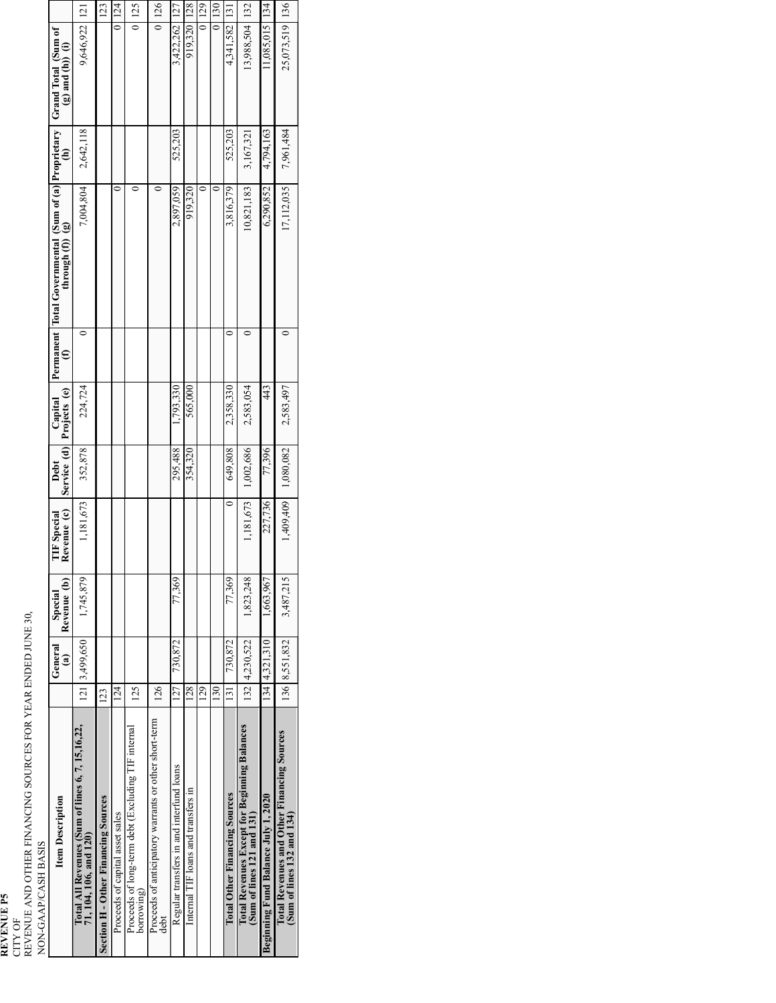**REVENUE P5** CITY OF

REVENUE AND OTHER FINANCING SOURCES FOR YEAR ENDED JUNE 30,

| NON-GAAP/CASH BASIS                                                          |          |                          |                        |                                   |                       |                         |                                                                                          |           |                                             |                 |
|------------------------------------------------------------------------------|----------|--------------------------|------------------------|-----------------------------------|-----------------------|-------------------------|------------------------------------------------------------------------------------------|-----------|---------------------------------------------|-----------------|
| <b>Item Description</b>                                                      |          | General<br>$\widehat{a}$ | Revenue (b)<br>Special | Revenue (c)<br><b>TIF</b> Special | Service (d)<br>Debt   | Capital<br>Projects (e) | Permanent   Total Governmental (Sum of (a)   Proprietary   $(f)$ (f) the drop $f(t)$ (g) |           | Grand Total (Sum of $(g)$ and $(h)$ ) $(i)$ |                 |
| Total All Revenues (Sum of lines 6, 7, 15, 16, 22,<br>71, 104, 106, and 120) |          | 121 3,499,650            | 1,745,879              | 1,181,673                         | 352,878               | 224,724                 | 7,004,804                                                                                | 2,642,118 | 9,646,922                                   | $\overline{21}$ |
| <b>Section H-Other Financing Sources</b>                                     | 123      |                          |                        |                                   |                       |                         |                                                                                          |           |                                             | 123             |
| Proceeds of capital asset sales                                              | $^{124}$ |                          |                        |                                   |                       |                         |                                                                                          | 0         |                                             | 0 124           |
| Proceeds of long-term debt (Excluding TIF internal<br>borrowing)             | 125      |                          |                        |                                   |                       |                         |                                                                                          | 0         |                                             | 0   125         |
| Proceeds of anticipatory warrants or other short-term<br>debt                | 126      |                          |                        |                                   |                       |                         |                                                                                          | 0         |                                             | 0 126           |
| Regular transfers in and interfund loans                                     | 127      | 730,872                  | 77,369                 |                                   | 295,488               | 1,793,330               | 2,897,059                                                                                | 525,203   | 3,422,262                                   | <sup>127</sup>  |
| Internal TIF loans and transfers in                                          | 128      |                          |                        |                                   | 354,320               | 565,000                 | 919,320                                                                                  |           | 919,320                                     | <b>128</b>      |
|                                                                              | 129      |                          |                        |                                   |                       |                         |                                                                                          | $\circ$   |                                             | 0 129           |
|                                                                              | 130      |                          |                        |                                   |                       |                         |                                                                                          | 0         |                                             | $\frac{130}{2}$ |
| <b>Total Other Financing Sources</b>                                         | 131      | 730,872                  | 77,369                 | $\circ$                           | 649,808               | 2,358,330               | 3,816,379                                                                                | 525,203   | 4,341,582   131                             |                 |
| Total Revenues Except for Beginning Balances<br>(Sum of lines 121 and 131)   |          | 132 4,230,522            | 1,823,248              | 1,181,673                         | 1,002,686             | 2,583,054               | 10,821,183                                                                               | 3,167,321 | 13,988,504                                  | <sup>132</sup>  |
| Beginning Fund Balance July 1, 2020                                          |          | 134 4,321,310            | 1,663,967              | 227,736                           | 77,396                | 43                      | 6,290,852                                                                                | 4,794,163 | 11,085,015 134                              |                 |
| Total Revenues and Other Financing Sources<br>(Sum of lines 132 and 134)     |          | 136 8,551,832            | 3,487,215              |                                   | $1,409,409$ 1,080,082 | 2,583,497               | 17,112,035                                                                               | 7,961,484 | 25,073,519 136                              |                 |
|                                                                              |          |                          |                        |                                   |                       |                         |                                                                                          |           |                                             |                 |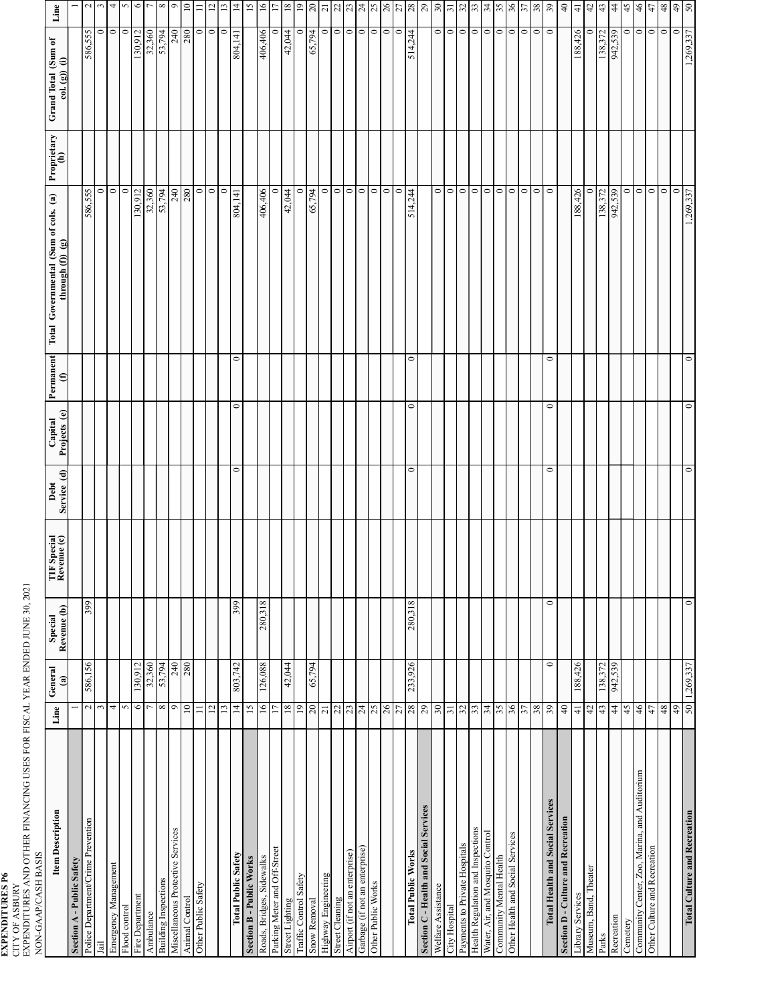EXPENDITURES P6<br>CITY OF ASBURY<br>EXPENDITURES AND OTHER FINANCING USES FOR FISCAL YEAR ENDED JUNE 30, 2021<br>NON-GAAP/CASH BASIS EXPENDITURES AND OTHER FINANCING USES FOR FISCAL YEAR ENDED JUNE 30, 2021

| NON-GAAP/CASH BASIS                           |                 |                          |                        |                            |                     |                         |                         |                                                             |                    |                                     |                          |
|-----------------------------------------------|-----------------|--------------------------|------------------------|----------------------------|---------------------|-------------------------|-------------------------|-------------------------------------------------------------|--------------------|-------------------------------------|--------------------------|
| <b>Item Description</b>                       | Line            | General<br>$\widehat{a}$ | Revenue (b)<br>Special | TIF Special<br>Revenue (c) | Service (d)<br>Debt | Projects (e)<br>Capital | Permanent<br>$\epsilon$ | Total Governmental (Sum of cols. (a)<br>through $(f)$ $(g)$ | Proprietary<br>(h) | Grand Total (Sum of<br>col.(g)) (i) | Line                     |
| Section A - Public Safety                     |                 |                          |                        |                            |                     |                         |                         |                                                             |                    |                                     | $\overline{\phantom{0}}$ |
| Police Department/Crime Prevention            |                 | 586,156<br>$\sim$        | 399                    |                            |                     |                         |                         | 586,555                                                     |                    | 586,555                             | $\sim$                   |
| Jail                                          |                 | 3                        |                        |                            |                     |                         |                         | 0                                                           |                    | $\circ$                             | 3                        |
| Emergency Management                          |                 | 4                        |                        |                            |                     |                         |                         | $\circ$                                                     |                    | $\circ$                             | 4                        |
| Flood control                                 |                 | 5                        |                        |                            |                     |                         |                         | 0                                                           |                    | $\circ$                             | S                        |
| Fire Department                               |                 | 130,912<br>$\circ$       |                        |                            |                     |                         |                         | 130,912                                                     |                    | 130,912                             | $\circ$                  |
| Ambulance                                     | Γ               | 32,360                   |                        |                            |                     |                         |                         | 32,360                                                      |                    | 32,360                              | $\overline{\phantom{a}}$ |
| Building Inspections                          |                 | 53,794<br>$\infty$       |                        |                            |                     |                         |                         | 53,794                                                      |                    | 53,794                              | $\infty$                 |
| Miscellaneous Protective Services             |                 | $\circ$                  |                        |                            |                     |                         |                         | 240                                                         |                    | 240                                 | $\degree$                |
| Animal Control                                | $\supseteq$     |                          | $\frac{240}{280}$      |                            |                     |                         |                         | 280                                                         |                    | 280                                 |                          |
| Other Public Safety                           | $\equiv$        |                          |                        |                            |                     |                         |                         | $\circ$                                                     |                    | $\circ$                             | $\equiv$                 |
|                                               | $\overline{12}$ |                          |                        |                            |                     |                         |                         | $\circ$                                                     |                    | $\circ$                             | $\overline{\mathbf{C}}$  |
|                                               | $\overline{13}$ |                          |                        |                            |                     |                         |                         | $\circ$                                                     |                    | $\circ$                             | $\Box$                   |
| <b>Total Public Safety</b>                    | $\vec{4}$       | 803,742                  | 399                    |                            | $\circ$             | $\circ$                 | $\circ$                 | 804,141                                                     |                    | 804,141                             | $\overline{4}$           |
| <b>Section B - Public Works</b>               | $\overline{15}$ |                          |                        |                            |                     |                         |                         |                                                             |                    |                                     | $\overline{5}$           |
| Roads, Bridges, Sidewalks                     | $\frac{6}{1}$   | 126,088                  | 280,318                |                            |                     |                         |                         | 406,406                                                     |                    | 406,406                             | $\overline{16}$          |
| Parking Meter and Off-Street                  | $\overline{17}$ |                          |                        |                            |                     |                         |                         |                                                             |                    | 0                                   | $\overline{17}$          |
| Street Lighting                               | $18\,$          | 42,044                   |                        |                            |                     |                         |                         | 42,044                                                      |                    | 42,044                              | 81                       |
| Traffic Control Safety                        | $\overline{19}$ |                          |                        |                            |                     |                         |                         |                                                             |                    | 0                                   | $\overline{0}$           |
| Snow Removal                                  | $20\,$          | 65,794                   |                        |                            |                     |                         |                         | 65,794                                                      |                    | 65,794                              |                          |
| Highway Engineering                           | $\overline{21}$ |                          |                        |                            |                     |                         |                         | 0                                                           |                    | $\bullet$                           |                          |
| Street Cleaning                               | $22$            |                          |                        |                            |                     |                         |                         | $\circ$                                                     |                    | $\circ$                             |                          |
| Airport (if not an enterprise)                | 23              |                          |                        |                            |                     |                         |                         | $\circ$                                                     |                    | $\circ$                             |                          |
| Garbage (if not an enterprise)                | $24\,$          |                          |                        |                            |                     |                         |                         | $\circ$                                                     |                    | $\circ$                             |                          |
| Other Public Works                            | 25              |                          |                        |                            |                     |                         |                         | $\circ$                                                     |                    | $\circ$                             |                          |
|                                               | $26\,$          |                          |                        |                            |                     |                         |                         | $\circ$                                                     |                    | $\circ$                             |                          |
|                                               | 27              |                          |                        |                            |                     |                         |                         | $\circ$                                                     |                    | $\circ$                             |                          |
| <b>Total Public Works</b>                     | 8 <sup>z</sup>  | 233,926                  | 280,318                |                            | $\circ$             | $\circ$                 | $\circ$                 | 514,244                                                     |                    | 514,244                             |                          |
| Section C - Health and Social Services        | 29              |                          |                        |                            |                     |                         |                         |                                                             |                    |                                     | 3 5 8 3 4 8 8 8 8 8      |
| Welfare Assistance                            | $30\,$          |                          |                        |                            |                     |                         |                         | $\circ$                                                     |                    | $\circ$                             | $\frac{30}{31}$          |
| City Hospital                                 | $\overline{31}$ |                          |                        |                            |                     |                         |                         | $\circ$                                                     |                    | $\bullet$                           |                          |
| Payments to Private Hospitals                 | $32\,$          |                          |                        |                            |                     |                         |                         | $\circ$                                                     |                    | $\circ$                             | $\frac{32}{33}$          |
| Health Regulation and Inspections             | 33              |                          |                        |                            |                     |                         |                         | $\circ$                                                     |                    | $\circ$                             |                          |
| Water, Air, and Mosquito Control              | 34              |                          |                        |                            |                     |                         |                         | $\circ$                                                     |                    | $\circ$                             | $34$                     |
| Community Mental Health                       | 55              |                          |                        |                            |                     |                         |                         | $\circ$                                                     |                    | $\circ$                             | 36                       |
| Other Health and Social Services              | $36$            |                          |                        |                            |                     |                         |                         | $\circ$                                                     |                    | $\circ$                             |                          |
|                                               | 37              |                          |                        |                            |                     |                         |                         | $\circ$                                                     |                    | $\circ$                             | 37                       |
|                                               | 38              |                          |                        |                            |                     |                         |                         | $\circ$                                                     |                    | $\circ$                             | 38                       |
| <b>Total Health and Social Services</b>       | 39              |                          | $\circ$<br>$\circ$     |                            | $\circ$             | $\circ$                 | $\circ$                 | $\circ$                                                     |                    | $\circ$                             | 59                       |
| Section D - Culture and Recreation            | $\sqrt{4}$      |                          |                        |                            |                     |                         |                         |                                                             |                    |                                     | $\overline{4}$           |
| Library Services                              | $\frac{1}{4}$   | 188,426                  |                        |                            |                     |                         |                         | 188,426                                                     |                    | 188,426                             | $\overline{4}$           |
| Museum, Band, Theater                         | 42              |                          |                        |                            |                     |                         |                         |                                                             |                    | $\circ$                             | 42                       |
| Parks                                         | 43              | 138,372                  |                        |                            |                     |                         |                         | 138,372                                                     |                    | 138,372                             | 43                       |
| Recreation                                    | $44$            | 942,539                  |                        |                            |                     |                         |                         | 942,539                                                     |                    | 942,539                             | $44$                     |
| Cemetery                                      | 45              |                          |                        |                            |                     |                         |                         | 0                                                           |                    | $\circ$                             | 45                       |
| Community Center, Zoo, Marina, and Auditorium | $\frac{4}{6}$   |                          |                        |                            |                     |                         |                         | $\circ$                                                     |                    | $\circ$                             | 46                       |
| Other Culture and Recreation                  | 47              |                          |                        |                            |                     |                         |                         | $\circ$                                                     |                    | $\circ$                             | 47                       |
|                                               | $48$            |                          |                        |                            |                     |                         |                         | $\circ$                                                     |                    | $\circ$                             | $48$                     |
|                                               | 6+              |                          |                        |                            |                     |                         |                         | $\circ$                                                     |                    | $\circ$                             | $rac{6}{50}$             |
| <b>Total Culture and Recreation</b>           |                 | 50 1,269,337             | $\circ$                |                            | $\circ$             | $\circ$                 | $\circ$                 | 1,269,337                                                   |                    | 1,269,337                           |                          |
|                                               |                 |                          |                        |                            |                     |                         |                         |                                                             |                    |                                     |                          |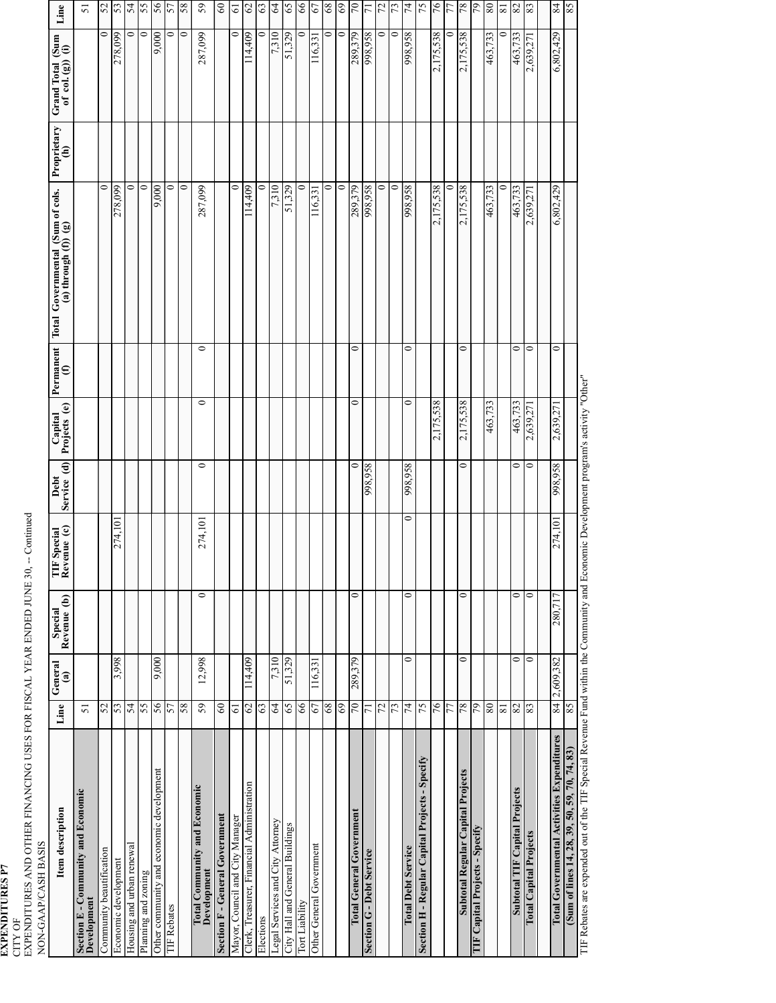EXPENDITURES P7<br>CITY OF<br>EXPENDITURES AND OTHER FINANCING USES FOR FISCAL YEAR ENDED JUNE 30, -- Continued<br>NON-GAAP/CASH BASIS EXPENDITURES AND OTHER FINANCING USES FOR FISCAL YEAR ENDED JUNE 30, -- Continued

| NON-GAAP/CASH BASIS                                |                |                         |                        |                            |                     |                         |                                                                                               |                                                               |                              |                                         |                    |
|----------------------------------------------------|----------------|-------------------------|------------------------|----------------------------|---------------------|-------------------------|-----------------------------------------------------------------------------------------------|---------------------------------------------------------------|------------------------------|-----------------------------------------|--------------------|
| Item description                                   | Line           | General<br>$\mathbf{a}$ | Special<br>Revenue (b) | TIF Special<br>Revenue (c) | Service (d)<br>Debt | Capital<br>Projects (e) | $\begin{tabular}{ p{0.5em} } \hline \textbf{Permament}\\ \textbf{(f)}\\ \hline \end{tabular}$ | Total Governmental (Sum of cols.<br>(a) through $(f)$ ) $(g)$ | Proprietary<br>$\widehat{e}$ | Grand Total (Sum<br>of col. $(g)$ ) (i) | Line               |
| Section E - Community and Economic<br>Development  | 51             |                         |                        |                            |                     |                         |                                                                                               |                                                               |                              |                                         | 5                  |
| Community beautification                           | 52             |                         |                        |                            |                     |                         |                                                                                               | 0                                                             |                              | 0                                       | 52                 |
| Economic development                               | 53             | 3,998                   |                        | 274,10                     |                     |                         |                                                                                               | 278,099                                                       |                              | 278,099                                 | 53                 |
| Housing and urban renewal                          | 54             |                         |                        |                            |                     |                         |                                                                                               | $\circ$                                                       |                              | $\circ$                                 | 54                 |
| Planning and zoning                                | 55             |                         |                        |                            |                     |                         |                                                                                               | $\circ$                                                       |                              | $\circ$                                 | 55                 |
| Other community and economic development           | 56             | 9,000                   |                        |                            |                     |                         |                                                                                               | 9.000                                                         |                              | 9,000                                   | 56                 |
| <b>TIF Rebates</b>                                 | 57             |                         |                        |                            |                     |                         |                                                                                               | 0                                                             |                              | っ                                       | 57                 |
|                                                    | 58             |                         |                        |                            |                     |                         |                                                                                               | $\circ$                                                       |                              | 0                                       | 58                 |
| <b>Total Community and Economic</b><br>Development | 59             | 12,998                  | $\circ$                | 274,101                    | $\circ$             | $\circ$                 | $\circ$                                                                                       | 287,099                                                       |                              | 287,099                                 | 59                 |
| Section F - General Government                     | $\mbox{60}$    |                         |                        |                            |                     |                         |                                                                                               |                                                               |                              |                                         | $\mbox{60}$        |
| Mayor, Council and City Manager                    | $\overline{6}$ |                         |                        |                            |                     |                         |                                                                                               | 0                                                             |                              | 0                                       | $\overline{6}$     |
| Clerk, Treasurer, Financial Administration         | $\mathcal{O}$  | 114,409                 |                        |                            |                     |                         |                                                                                               | 114,409                                                       |                              | 114,409                                 | $\mathcal{O}$      |
| Elections                                          | 63             |                         |                        |                            |                     |                         |                                                                                               | 0                                                             |                              | 0                                       | 63                 |
| Legal Services and City Attorney                   | $\mathcal{L}$  | 7,310                   |                        |                            |                     |                         |                                                                                               | 7,310                                                         |                              | 7,310                                   | $\mathcal{L}$      |
| City Hall and General Buildings                    | 65             | 51,329                  |                        |                            |                     |                         |                                                                                               | 51,329                                                        |                              | 51,329                                  | 65                 |
| Tort Liability                                     | 66             |                         |                        |                            |                     |                         |                                                                                               | 0                                                             |                              | 0                                       | 66                 |
| Other General Government                           | 67             | 116,331                 |                        |                            |                     |                         |                                                                                               | 116.33                                                        |                              | 116,33                                  | 67                 |
|                                                    | 68             |                         |                        |                            |                     |                         |                                                                                               | 0                                                             |                              | 0                                       | 68                 |
|                                                    | $69\,$         |                         |                        |                            |                     |                         |                                                                                               | $\circ$                                                       |                              | $\circ$                                 | 69                 |
| Total General Government                           | $\overline{0}$ | 289,379                 | $\circ$                |                            | $\circ$             | 0                       | $\circ$                                                                                       | 289,379                                                       |                              | 289,379                                 | $\overline{0}$     |
| <b>Section G - Debt Service</b>                    | $\overline{7}$ |                         |                        |                            | 98,958              |                         |                                                                                               | 998,958                                                       |                              | 98,958                                  | $\overline{71}$    |
|                                                    | 72             |                         |                        |                            |                     |                         |                                                                                               | ∍                                                             |                              | ∍                                       | 72                 |
|                                                    | 73             |                         |                        |                            |                     |                         |                                                                                               | 0                                                             |                              | 0                                       | 73                 |
| <b>Total Debt Service</b>                          | $\overline{7}$ | $\circ$                 | $\circ$                | 0                          | 998,958             | $\circ$                 | 0                                                                                             | 998,958                                                       |                              | 998,958                                 | 74                 |
| Section H - Regular Capital Projects - Specify     | 75             |                         |                        |                            |                     |                         |                                                                                               |                                                               |                              |                                         | 75                 |
|                                                    | 76             |                         |                        |                            |                     | 2,175,538               |                                                                                               | 2,175,538                                                     |                              | 2,175,538                               | 94                 |
|                                                    | 77             |                         |                        |                            |                     |                         |                                                                                               | 0                                                             |                              | 0                                       | 77                 |
| Subtotal Regular Capital Projects                  | 78             | $\circ$                 | $\circ$                |                            | 0                   | 2,175,538               | $\circ$                                                                                       | 2,175,538                                                     |                              | 2,175,538                               | 78                 |
| TIF Capital Projects - Specify                     | 64             |                         |                        |                            |                     |                         |                                                                                               |                                                               |                              |                                         | 97                 |
|                                                    | 80             |                         |                        |                            |                     | 463,733                 |                                                                                               | 463,733                                                       |                              | 463,733                                 | 80                 |
|                                                    | $\overline{8}$ |                         |                        |                            |                     |                         |                                                                                               | =                                                             |                              |                                         | $\overline{\bf 8}$ |
| Subtotal TIF Capital Projects                      | 82             | $\circ$                 | $\circ$                |                            | 0                   | 463,733                 | 0                                                                                             | 463,733                                                       |                              | 463,733                                 | 82                 |
| <b>Total Capital Projects</b>                      | 83             | $\circ$                 | $\circ$                |                            | 0                   | 2,639,27                | 0                                                                                             | 2,639,27                                                      |                              | 2,639,27                                | 83                 |
| <b>Total Governmental Activities Expenditures</b>  | 84             | 2,609,382               | 280,717                | 274,101                    | 98,958              | 2,639,27                | 0                                                                                             | 6,802,429                                                     |                              | 6,802,429                               | 84                 |
| (Sum of lines 14, 28, 39, 50, 59, 70, 74, 83)      | 85             |                         |                        |                            |                     |                         |                                                                                               |                                                               |                              |                                         | 85                 |
| $\sim$ TIE $\sim$ $\sim$ T<br>لمما<br>TIE Dakat.   |                |                         |                        | بر<br>تا انہ               |                     |                         |                                                                                               |                                                               |                              |                                         |                    |

TIF Rebates are expended out of the TIF Special Revenue Fund within the Community and Economic Development program's activity "Other" TIF Rebates are expended out of the TIF Special Revenue Fund within the Community and Economic Development program's activity "Other"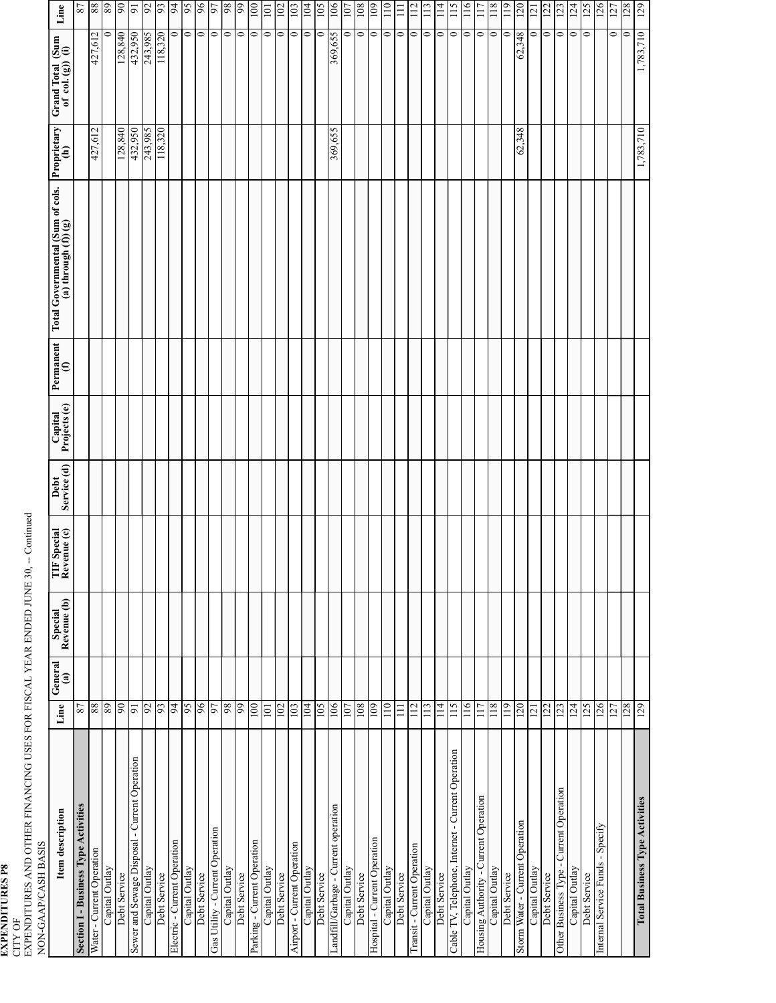EXPENDITURES P8<br>CITY OF<br>EXPENDITURES AND OTHER FINANCING USES FOR FISCAL YEAR ENDED JUNE 30, -- Continued<br>NON-GAAP/CASH BASIS EXPENDITURES AND OTHER FINANCING USES FOR FISCAL YEAR ENDED JUNE 30, -- Continued

| NON-GAAP/CASH BASIS                               |                |                          |                        |                            |                     |                         |           |                                                               |             |                                         |                  |
|---------------------------------------------------|----------------|--------------------------|------------------------|----------------------------|---------------------|-------------------------|-----------|---------------------------------------------------------------|-------------|-----------------------------------------|------------------|
| Item description                                  | Line           | General<br>$\widehat{a}$ | Special<br>Revenue (b) | TIF Special<br>Revenue (c) | Service (d)<br>Debt | Capital<br>Projects (e) | Permanent | Total Governmental (Sum of cols.<br>$(a)$ through $(f)$ ) (g) | Proprietary | Grand Total (Sum<br>of col. $(g)$ ) (i) | Line             |
| Section I - Business Type Activities              | 87             |                          |                        |                            |                     |                         |           |                                                               |             |                                         | 22               |
| Water - Current Operation                         | 88             |                          |                        |                            |                     |                         |           |                                                               | 427,612     | 427,612                                 | 88               |
| Capital Outlay                                    | 68             |                          |                        |                            |                     |                         |           |                                                               |             | 0                                       | 89               |
| Debt Service                                      | 06             |                          |                        |                            |                     |                         |           |                                                               | 128,840     | 128,840                                 | 66               |
| Sewer and Sewage Disposal - Current Operation     | $\overline{5}$ |                          |                        |                            |                     |                         |           |                                                               | 432,950     | 432,950                                 | $\overline{9}$   |
| Capital Outlay                                    | 92             |                          |                        |                            |                     |                         |           |                                                               | 243,985     | 243,985                                 | 6 <sup>o</sup>   |
| Debt Service                                      | 93             |                          |                        |                            |                     |                         |           |                                                               | 118,320     | 118,320                                 | 66               |
| Electric - Current Operation                      | $\overline{5}$ |                          |                        |                            |                     |                         |           |                                                               |             | $\circ$                                 | 64               |
| Capital Outlay                                    | 56             |                          |                        |                            |                     |                         |           |                                                               |             | $\circ$                                 | 95               |
| Debt Service                                      | 96             |                          |                        |                            |                     |                         |           |                                                               |             | $\circ$                                 | 96               |
| Gas Utility - Current Operation                   | 97             |                          |                        |                            |                     |                         |           |                                                               |             | $\circ$                                 | 67               |
| Capital Outlay                                    | $\,86$         |                          |                        |                            |                     |                         |           |                                                               |             | $\circ$                                 | 86               |
| Debt Service                                      | 66             |                          |                        |                            |                     |                         |           |                                                               |             | $\bullet$                               | 66               |
| Parking - Current Operation                       | 100            |                          |                        |                            |                     |                         |           |                                                               |             | $\circ$                                 | $\frac{100}{2}$  |
| Capital Outlay                                    | 101            |                          |                        |                            |                     |                         |           |                                                               |             | $\circ$                                 | 101              |
| Debt Service                                      | 102            |                          |                        |                            |                     |                         |           |                                                               |             | $\circ$                                 | 102              |
| Airport - Current Operation                       | 103            |                          |                        |                            |                     |                         |           |                                                               |             | $\circ$                                 | 103              |
| Capital Outlay                                    | 104            |                          |                        |                            |                     |                         |           |                                                               |             | $\circ$                                 | 104              |
| Debt Service                                      | 501            |                          |                        |                            |                     |                         |           |                                                               |             | $\circ$                                 | $\sqrt{5}$       |
| Landfill/Garbage - Current operation              | 106            |                          |                        |                            |                     |                         |           |                                                               | 369,655     | 369,655                                 | 106              |
| Capital Outlay                                    | 107            |                          |                        |                            |                     |                         |           |                                                               |             | 0                                       | 107              |
| Debt Service                                      | 108            |                          |                        |                            |                     |                         |           |                                                               |             | $\circ$                                 | 108              |
| Hospital - Current Operation                      | 109            |                          |                        |                            |                     |                         |           |                                                               |             | $\circ$                                 | 109              |
| Capital Outlay                                    | 110            |                          |                        |                            |                     |                         |           |                                                               |             | $\circ$                                 | 110              |
| Debt Service                                      | $\equiv$       |                          |                        |                            |                     |                         |           |                                                               |             | $\circ$                                 | $\Xi$            |
| Transit - Current Operation                       | 112            |                          |                        |                            |                     |                         |           |                                                               |             | $\circ$                                 | 112              |
| Capital Outlay                                    | 113            |                          |                        |                            |                     |                         |           |                                                               |             | $\circ$                                 | $\frac{13}{2}$   |
| Debt Service                                      | 114            |                          |                        |                            |                     |                         |           |                                                               |             | $\circ$                                 | $\frac{114}{11}$ |
| Cable TV, Telephone, Internet - Current Operation | 115            |                          |                        |                            |                     |                         |           |                                                               |             | $\circ$                                 | 115              |
| Capital Outlay                                    | 116            |                          |                        |                            |                     |                         |           |                                                               |             | $\circ$                                 | 116              |
| Housing Authority - Current Operation             | 117            |                          |                        |                            |                     |                         |           |                                                               |             | $\circ$                                 | 117              |
| Capital Outlay                                    | 118            |                          |                        |                            |                     |                         |           |                                                               |             | $\circ$                                 | 118              |
| Debt Service                                      | 119            |                          |                        |                            |                     |                         |           |                                                               |             | $\circ$                                 | $\frac{1}{2}$    |
| Storm Water - Current Operation                   | 120            |                          |                        |                            |                     |                         |           |                                                               | 62,348      | 62,348                                  | 071              |
| Capital Outlay                                    | 121            |                          |                        |                            |                     |                         |           |                                                               |             | 0                                       | 121              |
| Debt Service                                      | 122            |                          |                        |                            |                     |                         |           |                                                               |             | $\circ$                                 | 122              |
| Other Business Type - Current Operation           | 123            |                          |                        |                            |                     |                         |           |                                                               |             | $\bullet$                               | 123              |
| Capital Outlay                                    | 124            |                          |                        |                            |                     |                         |           |                                                               |             | $\circ$                                 | 124              |
| Debt Service                                      | 125            |                          |                        |                            |                     |                         |           |                                                               |             | $\circ$                                 | 125              |
| Internal Service Funds - Specify                  | 126            |                          |                        |                            |                     |                         |           |                                                               |             |                                         | 126              |
|                                                   | 127            |                          |                        |                            |                     |                         |           |                                                               |             | $\bullet$                               | 127              |
|                                                   | 128            |                          |                        |                            |                     |                         |           |                                                               |             | $\circ$                                 | 128              |
| <b>Total Business Type Activities</b>             |                |                          |                        |                            |                     |                         |           |                                                               | 1,783,710   | 1,783,710                               | 129              |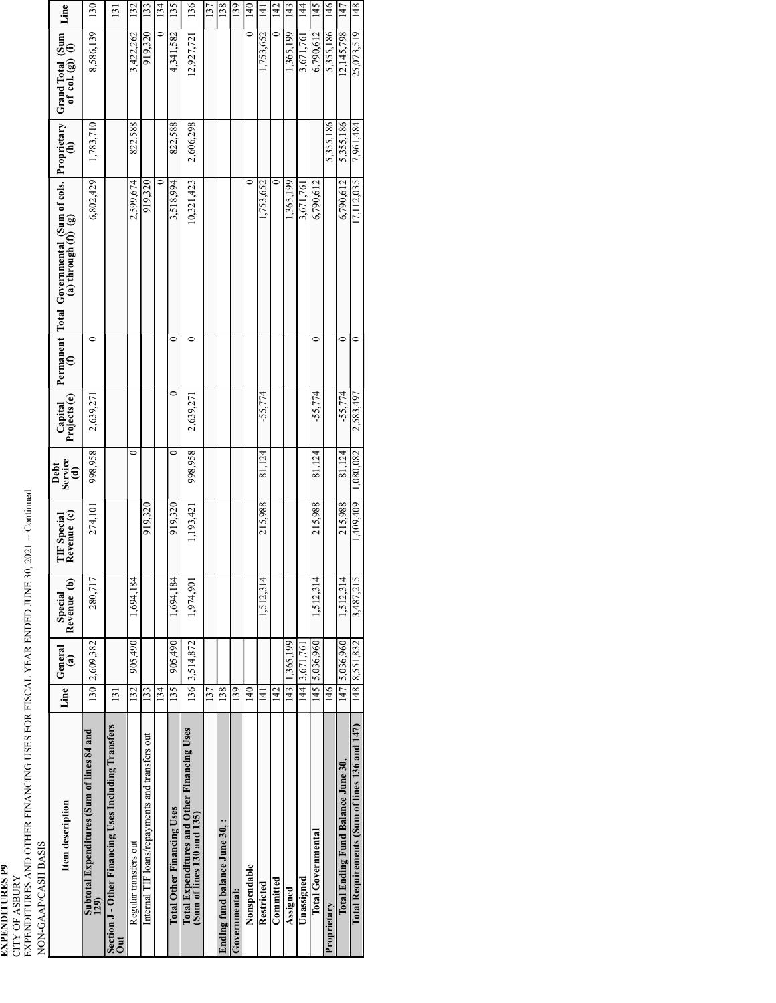EXPENDITURES P9<br>CITY OF ASBURY<br>EXPENDITURES AND OTHER FINANCING USES FOR FISCAL YEAR ENDED JUNE 30, 2021 -- Continued EXPENDITURES AND OTHER FINANCING USES FOR FISCAL YEAR ENDED JUNE 30, 2021 -- Continued

| NON-GAAP/CASH BASIS                                                       |                  |                                   |                        |                                   |                        |                         |         |                                                                        |           |                                         |                |
|---------------------------------------------------------------------------|------------------|-----------------------------------|------------------------|-----------------------------------|------------------------|-------------------------|---------|------------------------------------------------------------------------|-----------|-----------------------------------------|----------------|
| Item description                                                          | Line             | General<br>$\widehat{\mathbf{a}}$ | Revenue (b)<br>Special | Revenue (c)<br><b>TIF</b> Special | Debt<br>Service<br>(d) | Capital<br>Projects (e) |         | Permanent   Total Governmental (Sum of cols. Proprietary $(f)$ (f) (g) |           | Grand Total (Sum<br>of col. $(g)$ ) (i) | Line           |
| Subtotal Expenditures (Sum of lines 84 and<br>129)                        | 130              | 2,609,382                         | 280,717                | 274,101                           | 998,958                | 2,639,271               | 0       | 6,802,429                                                              | 1,783,710 | 8,586,139                               | 130            |
| Section J - Other Financing Uses Including Transfers<br>$\mathsf{u}$      | $\overline{131}$ |                                   |                        |                                   |                        |                         |         |                                                                        |           |                                         | 131            |
| Regular transfers out                                                     | 132              | 905,490                           | 1,694,184              |                                   | 0                      |                         |         | 2,599,674                                                              | 822,588   | 3,422,262                               | 132            |
| Internal TIF loans/repayments and transfers out                           | 133              |                                   |                        | 919,320                           |                        |                         |         | 919,320                                                                |           | 919,320                                 | 133            |
|                                                                           | 134              |                                   |                        |                                   |                        |                         |         |                                                                        |           | 0                                       | 134            |
| <b>Total Other Financing Uses</b>                                         | 135              | 905,490                           | 1,694,184              | 919,320                           | $\circ$                | 0                       | 0       | 3,518,994                                                              | 822,588   | 4,341,582                               | 135            |
| Total Expenditures and Other Financing Uses<br>(Sum of lines 130 and 135) |                  | 136 3,514,872                     | 1,974,901              | 1,193,421                         | 998,958                | 2,639,27                | 0       | 10,321,423                                                             | 2,606,298 | 12,927,721                              | 136            |
|                                                                           | 137              |                                   |                        |                                   |                        |                         |         |                                                                        |           |                                         | 137            |
| Ending fund balance June 30,:                                             | 138              |                                   |                        |                                   |                        |                         |         |                                                                        |           |                                         | 138            |
| Governmental:                                                             | 139              |                                   |                        |                                   |                        |                         |         |                                                                        |           |                                         | 139            |
| Nonspendable                                                              | $\frac{40}{5}$   |                                   |                        |                                   |                        |                         |         |                                                                        | 0         | 0                                       | 140            |
| Restricted                                                                | 141              |                                   | 1,512,314              | 215,988                           | 81,124                 | $-55,774$               |         | 1,753,652                                                              |           | 1,753,652                               | $\Xi$          |
| Committed                                                                 | 142              |                                   |                        |                                   |                        |                         |         |                                                                        |           |                                         | 142            |
| Assigned                                                                  | 143              | 1,365,199                         |                        |                                   |                        |                         |         | ,365,199                                                               |           | 1,365,199                               | 143            |
| Unassigned                                                                |                  | 144 3,671,761                     |                        |                                   |                        |                         |         | 3,671,761                                                              |           | 3,671,761                               | $\frac{44}{3}$ |
| <b>Total Governmental</b>                                                 |                  | 145   5,036,960                   | 1,512,314              | 215,988                           | 81,124                 | $-55,774$               | 0       | 6,790,612                                                              |           | 6,790,612                               | 145            |
| Proprietary                                                               | $\frac{46}{5}$   |                                   |                        |                                   |                        |                         |         |                                                                        | 5,355,186 | 5,355,186                               | 146            |
| Total Ending Fund Balance June 30,                                        |                  | 147 5.036,960                     | 1,512,314              | 215,988                           | 81,124                 | $-55,774$               | $\circ$ | 6,790,612                                                              | 5,355,186 | 12,145,798                              | 147            |
| Total Requirements (Sum of lines 136 and 147)                             |                  | 148 8,551,832                     | 3,487,215              | 1,409,409                         | 1,080,082              | 2,583,497               | $\circ$ | 17,112,035                                                             | 7,961,484 | 25,073,519                              | 148            |
|                                                                           |                  |                                   |                        |                                   |                        |                         |         |                                                                        |           |                                         |                |